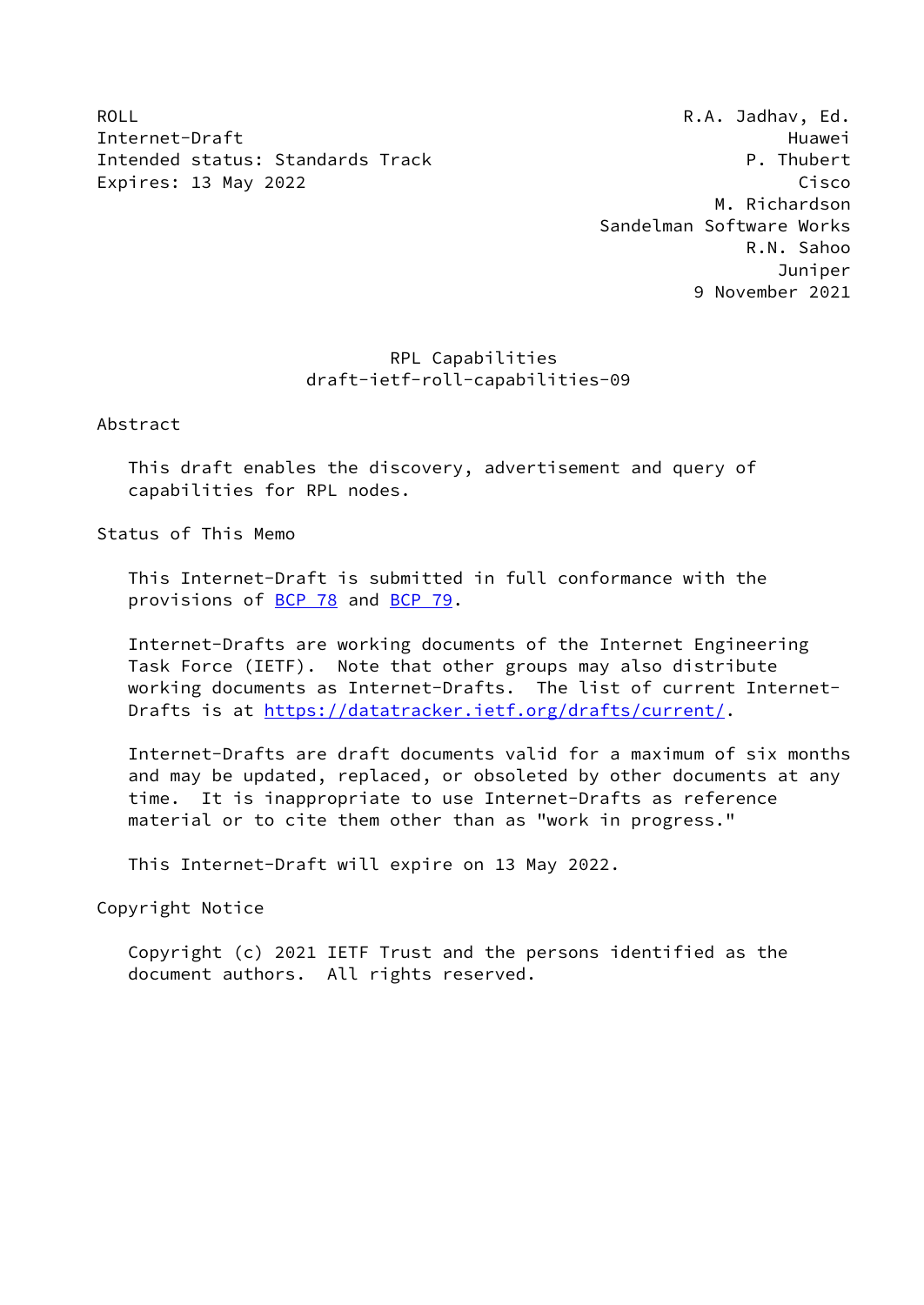ROLL ROLL ROLL R.A. Jadhav, Ed. Internet-Draft Huawei Intended status: Standards Track P. Thubert Expires: 13 May 2022 **Cisco** 

 M. Richardson Sandelman Software Works R.N. Sahoo Juniper 9 November 2021

# RPL Capabilities draft-ietf-roll-capabilities-09

Abstract

 This draft enables the discovery, advertisement and query of capabilities for RPL nodes.

Status of This Memo

 This Internet-Draft is submitted in full conformance with the provisions of [BCP 78](https://datatracker.ietf.org/doc/pdf/bcp78) and [BCP 79](https://datatracker.ietf.org/doc/pdf/bcp79).

 Internet-Drafts are working documents of the Internet Engineering Task Force (IETF). Note that other groups may also distribute working documents as Internet-Drafts. The list of current Internet- Drafts is at<https://datatracker.ietf.org/drafts/current/>.

 Internet-Drafts are draft documents valid for a maximum of six months and may be updated, replaced, or obsoleted by other documents at any time. It is inappropriate to use Internet-Drafts as reference material or to cite them other than as "work in progress."

This Internet-Draft will expire on 13 May 2022.

Copyright Notice

 Copyright (c) 2021 IETF Trust and the persons identified as the document authors. All rights reserved.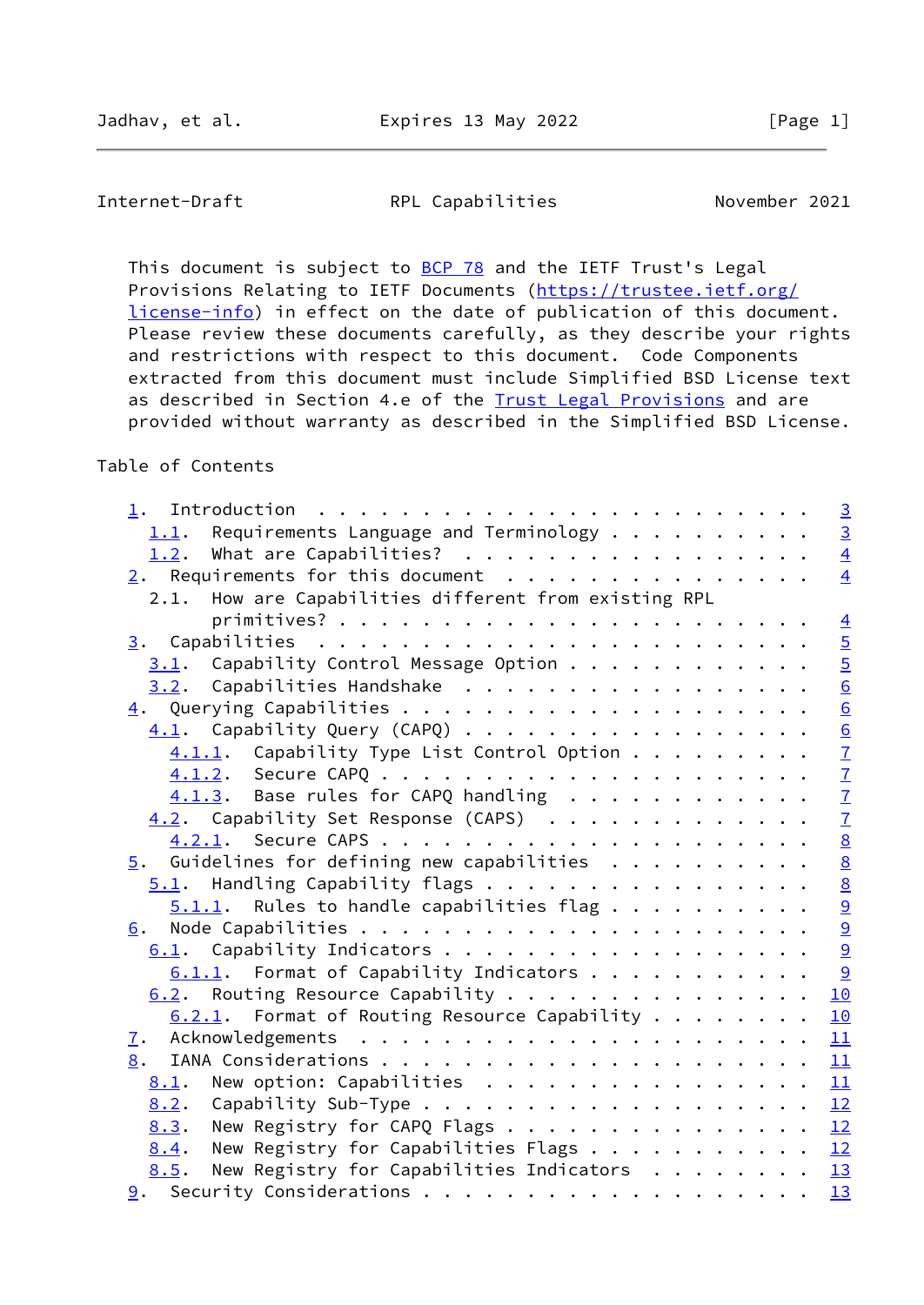This document is subject to **[BCP 78](https://datatracker.ietf.org/doc/pdf/bcp78)** and the IETF Trust's Legal Provisions Relating to IETF Documents ([https://trustee.ietf.org/](https://trustee.ietf.org/license-info) [license-info](https://trustee.ietf.org/license-info)) in effect on the date of publication of this document. Please review these documents carefully, as they describe your rights and restrictions with respect to this document. Code Components extracted from this document must include Simplified BSD License text as described in Section 4.e of the [Trust Legal Provisions](https://trustee.ietf.org/license-info) and are provided without warranty as described in the Simplified BSD License.

Table of Contents

|                                                                                     | $\overline{3}$              |
|-------------------------------------------------------------------------------------|-----------------------------|
| Requirements Language and Terminology $\dots \dots \dots$<br>1.1.                   | $\overline{3}$              |
| 1.2. What are Capabilities?                                                         | $\overline{4}$              |
|                                                                                     | $\overline{4}$              |
| 2.1. How are Capabilities different from existing RPL                               |                             |
|                                                                                     | $\overline{4}$              |
|                                                                                     | $\overline{5}$              |
| Capability Control Message Option<br>3.1.                                           | $\overline{5}$              |
| 3.2. Capabilities Handshake                                                         | $\overline{6}$              |
|                                                                                     | 6                           |
|                                                                                     |                             |
| $4.1.1.$ Capability Type List Control Option                                        | $\frac{6}{7}$               |
|                                                                                     |                             |
| $4.1.3$ . Base rules for CAPQ handling                                              |                             |
| 4.2. Capability Set Response (CAPS)                                                 | $\frac{7}{7}$ $\frac{8}{9}$ |
|                                                                                     |                             |
| $\overline{5}$ . Guidelines for defining new capabilities                           |                             |
| $5.1$ . Handling Capability flags                                                   | $\frac{8}{8}$               |
| $5.1.1$ . Rules to handle capabilities flag                                         | 9                           |
|                                                                                     |                             |
| 6.1. Capability Indicators                                                          | $\frac{9}{9}$               |
| $6.1.1.$ Format of Capability Indicators 9                                          |                             |
| 6.2. Routing Resource Capability                                                    | 10                          |
| $6.2.1$ . Format of Routing Resource Capability                                     | 10                          |
|                                                                                     |                             |
| 8.                                                                                  |                             |
| New option: Capabilities $\ldots \ldots \ldots \ldots \ldots \frac{11}{11}$<br>8.1. |                             |
| 8.2.                                                                                |                             |
|                                                                                     |                             |
| New Registry for CAPQ Flags $\ldots$ 12<br>8.3.                                     |                             |
| New Registry for Capabilities Flags $\underline{12}$<br>8.4.                        |                             |
| New Registry for Capabilities Indicators $\cdots$ 13<br>8.5.                        |                             |
|                                                                                     |                             |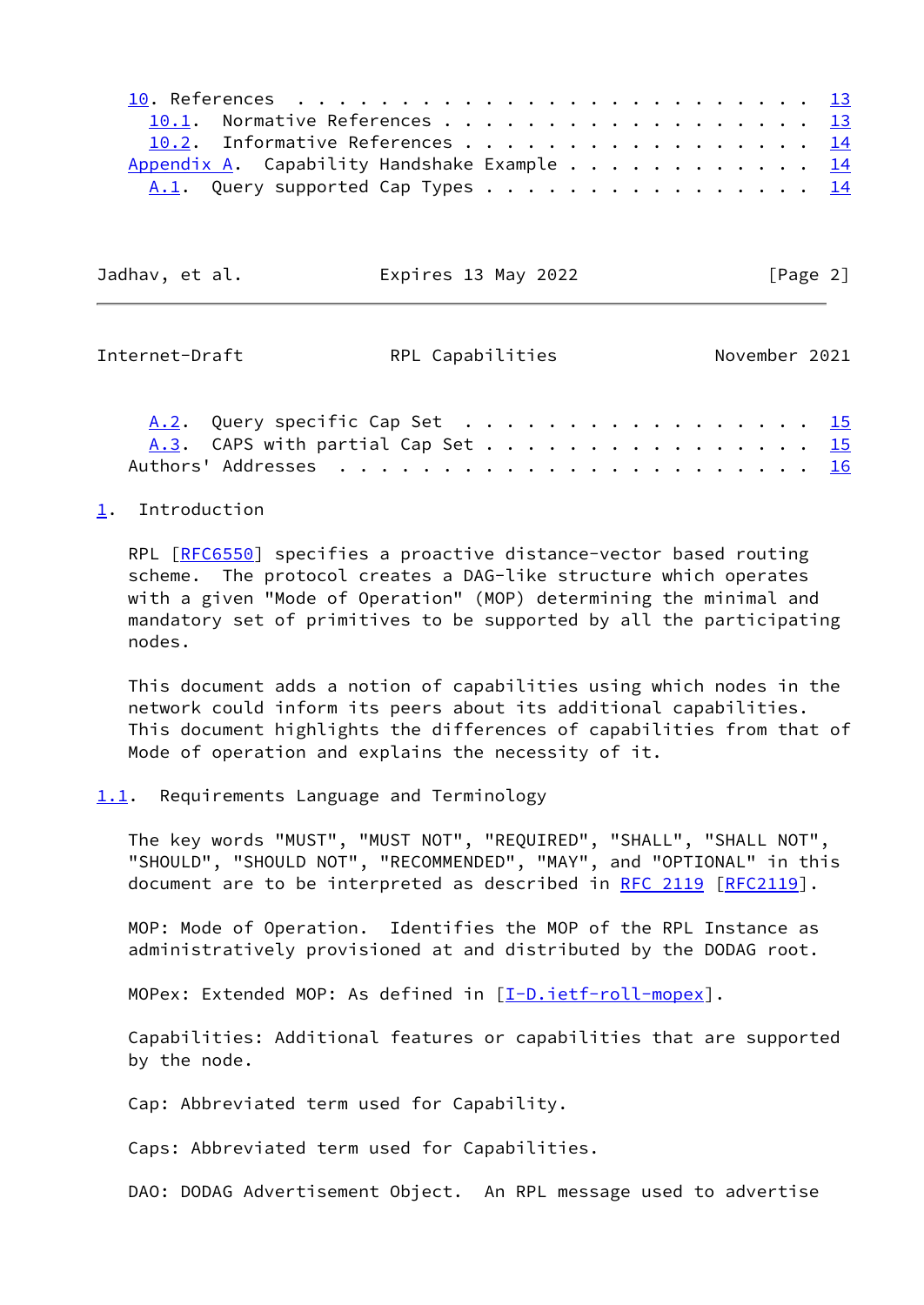|                                                      | 10.1. Normative References 13     |  |  |  |  |  |  |  |  |  |  |  |
|------------------------------------------------------|-----------------------------------|--|--|--|--|--|--|--|--|--|--|--|
|                                                      | 10.2. Informative References 14   |  |  |  |  |  |  |  |  |  |  |  |
| Appendix A. Capability Handshake Example $\cdots$ 14 |                                   |  |  |  |  |  |  |  |  |  |  |  |
|                                                      | A.1. Query supported Cap Types 14 |  |  |  |  |  |  |  |  |  |  |  |

| Jadhav, et al. | Expires 13 May 2022 |  | [Page 2] |  |
|----------------|---------------------|--|----------|--|
|                |                     |  |          |  |

<span id="page-2-1"></span>

| Internet-Draft | RPL Capabilities                  |  |  | November 2021 |
|----------------|-----------------------------------|--|--|---------------|
|                | A.2. Query specific Cap Set 15    |  |  |               |
|                | A.3. CAPS with partial Cap Set 15 |  |  |               |
|                |                                   |  |  |               |

#### <span id="page-2-0"></span>[1](#page-2-0). Introduction

 RPL [\[RFC6550](https://datatracker.ietf.org/doc/pdf/rfc6550)] specifies a proactive distance-vector based routing scheme. The protocol creates a DAG-like structure which operates with a given "Mode of Operation" (MOP) determining the minimal and mandatory set of primitives to be supported by all the participating nodes.

 This document adds a notion of capabilities using which nodes in the network could inform its peers about its additional capabilities. This document highlights the differences of capabilities from that of Mode of operation and explains the necessity of it.

#### <span id="page-2-2"></span>[1.1](#page-2-2). Requirements Language and Terminology

 The key words "MUST", "MUST NOT", "REQUIRED", "SHALL", "SHALL NOT", "SHOULD", "SHOULD NOT", "RECOMMENDED", "MAY", and "OPTIONAL" in this document are to be interpreted as described in [RFC 2119 \[RFC2119](https://datatracker.ietf.org/doc/pdf/rfc2119)].

 MOP: Mode of Operation. Identifies the MOP of the RPL Instance as administratively provisioned at and distributed by the DODAG root.

MOPex: Extended MOP: As defined in [[I-D.ietf-roll-mopex\]](#page-14-4).

 Capabilities: Additional features or capabilities that are supported by the node.

Cap: Abbreviated term used for Capability.

Caps: Abbreviated term used for Capabilities.

DAO: DODAG Advertisement Object. An RPL message used to advertise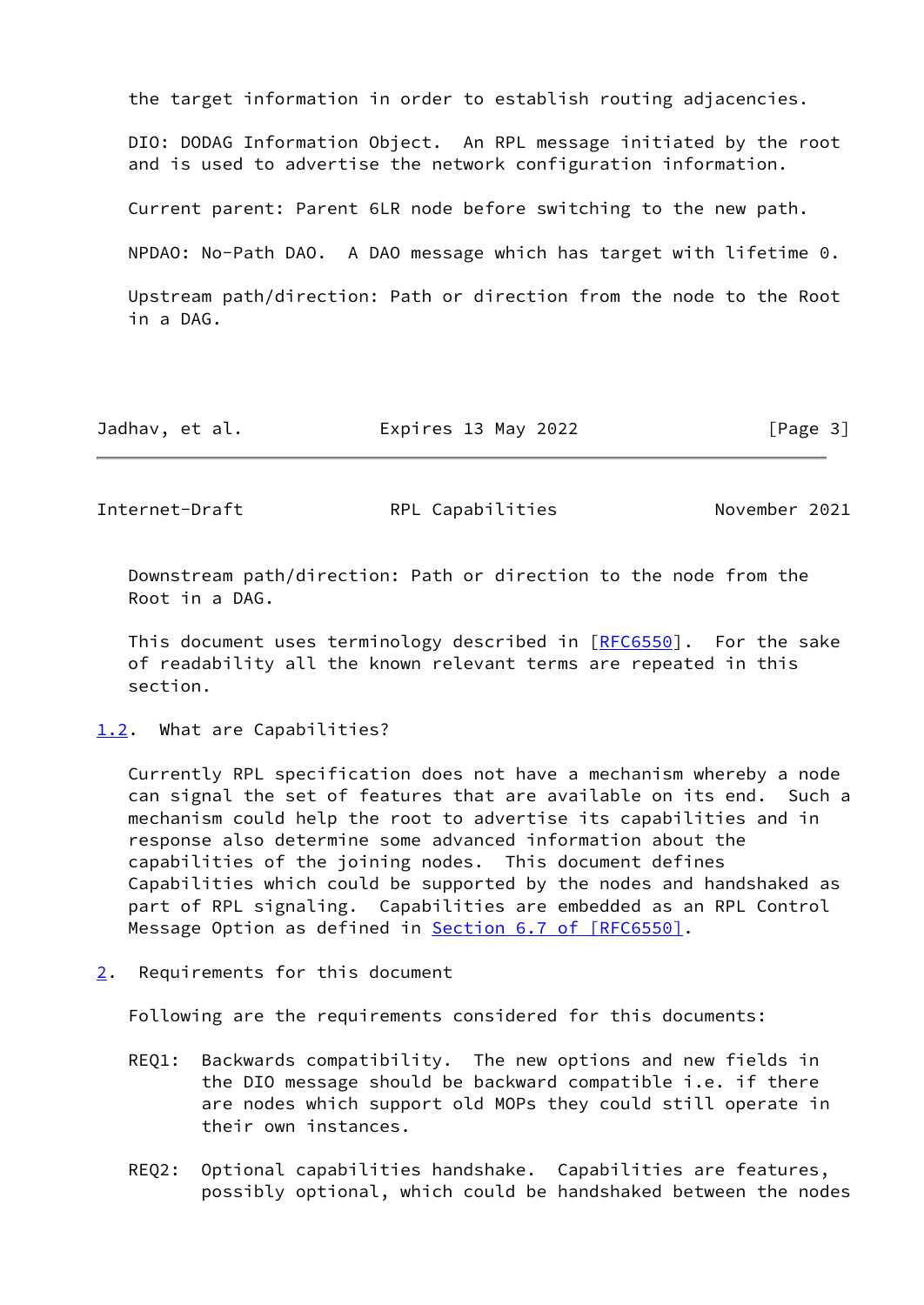the target information in order to establish routing adjacencies.

 DIO: DODAG Information Object. An RPL message initiated by the root and is used to advertise the network configuration information.

Current parent: Parent 6LR node before switching to the new path.

NPDAO: No-Path DAO. A DAO message which has target with lifetime 0.

 Upstream path/direction: Path or direction from the node to the Root in a DAG.

| Jadhav, et al. | Expires 13 May 2022 | [Page 3] |
|----------------|---------------------|----------|
|----------------|---------------------|----------|

<span id="page-3-1"></span>Internet-Draft RPL Capabilities November 2021

 Downstream path/direction: Path or direction to the node from the Root in a DAG.

This document uses terminology described in [\[RFC6550](https://datatracker.ietf.org/doc/pdf/rfc6550)]. For the sake of readability all the known relevant terms are repeated in this section.

<span id="page-3-0"></span>[1.2](#page-3-0). What are Capabilities?

 Currently RPL specification does not have a mechanism whereby a node can signal the set of features that are available on its end. Such a mechanism could help the root to advertise its capabilities and in response also determine some advanced information about the capabilities of the joining nodes. This document defines Capabilities which could be supported by the nodes and handshaked as part of RPL signaling. Capabilities are embedded as an RPL Control Message Option as defined in **Section [6.7 of \[RFC6550\]](https://datatracker.ietf.org/doc/pdf/rfc6550#section-6.7)**.

<span id="page-3-2"></span>[2](#page-3-2). Requirements for this document

Following are the requirements considered for this documents:

- REQ1: Backwards compatibility. The new options and new fields in the DIO message should be backward compatible i.e. if there are nodes which support old MOPs they could still operate in their own instances.
- REQ2: Optional capabilities handshake. Capabilities are features, possibly optional, which could be handshaked between the nodes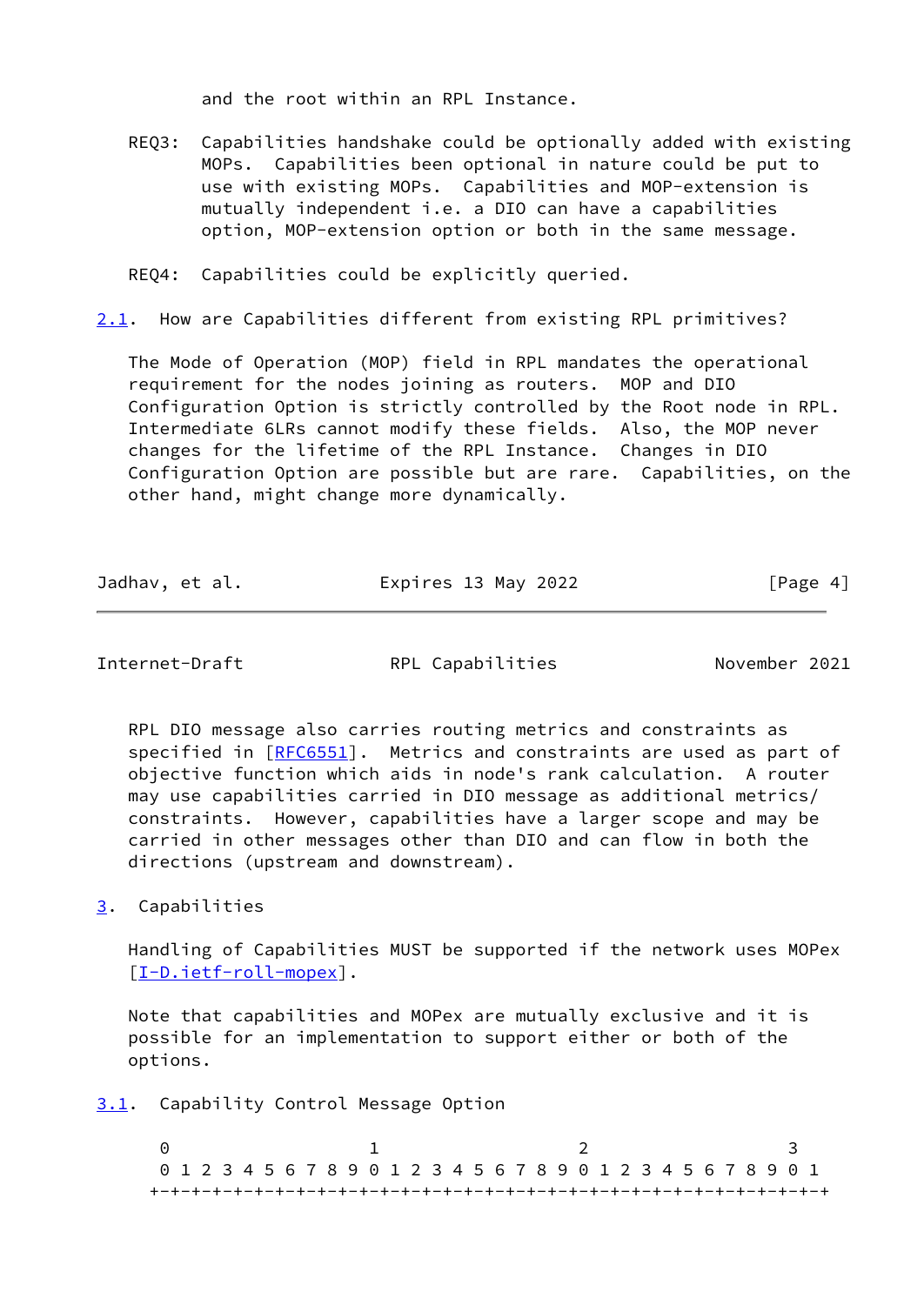and the root within an RPL Instance.

 REQ3: Capabilities handshake could be optionally added with existing MOPs. Capabilities been optional in nature could be put to use with existing MOPs. Capabilities and MOP-extension is mutually independent i.e. a DIO can have a capabilities option, MOP-extension option or both in the same message.

REQ4: Capabilities could be explicitly queried.

<span id="page-4-3"></span>[2.1](#page-4-3). How are Capabilities different from existing RPL primitives?

 The Mode of Operation (MOP) field in RPL mandates the operational requirement for the nodes joining as routers. MOP and DIO Configuration Option is strictly controlled by the Root node in RPL. Intermediate 6LRs cannot modify these fields. Also, the MOP never changes for the lifetime of the RPL Instance. Changes in DIO Configuration Option are possible but are rare. Capabilities, on the other hand, might change more dynamically.

| Jadhav, et al. | Expires 13 May 2022 | [Page 4] |
|----------------|---------------------|----------|
|----------------|---------------------|----------|

<span id="page-4-1"></span>Internet-Draft RPL Capabilities November 2021

 RPL DIO message also carries routing metrics and constraints as specified in [\[RFC6551](https://datatracker.ietf.org/doc/pdf/rfc6551)]. Metrics and constraints are used as part of objective function which aids in node's rank calculation. A router may use capabilities carried in DIO message as additional metrics/ constraints. However, capabilities have a larger scope and may be carried in other messages other than DIO and can flow in both the directions (upstream and downstream).

<span id="page-4-0"></span>[3](#page-4-0). Capabilities

 Handling of Capabilities MUST be supported if the network uses MOPex [\[I-D.ietf-roll-mopex](#page-14-4)].

 Note that capabilities and MOPex are mutually exclusive and it is possible for an implementation to support either or both of the options.

<span id="page-4-2"></span>[3.1](#page-4-2). Capability Control Message Option

0 1 2 3 0 1 2 3 4 5 6 7 8 9 0 1 2 3 4 5 6 7 8 9 0 1 2 3 4 5 6 7 8 9 0 1 +-+-+-+-+-+-+-+-+-+-+-+-+-+-+-+-+-+-+-+-+-+-+-+-+-+-+-+-+-+-+-+-+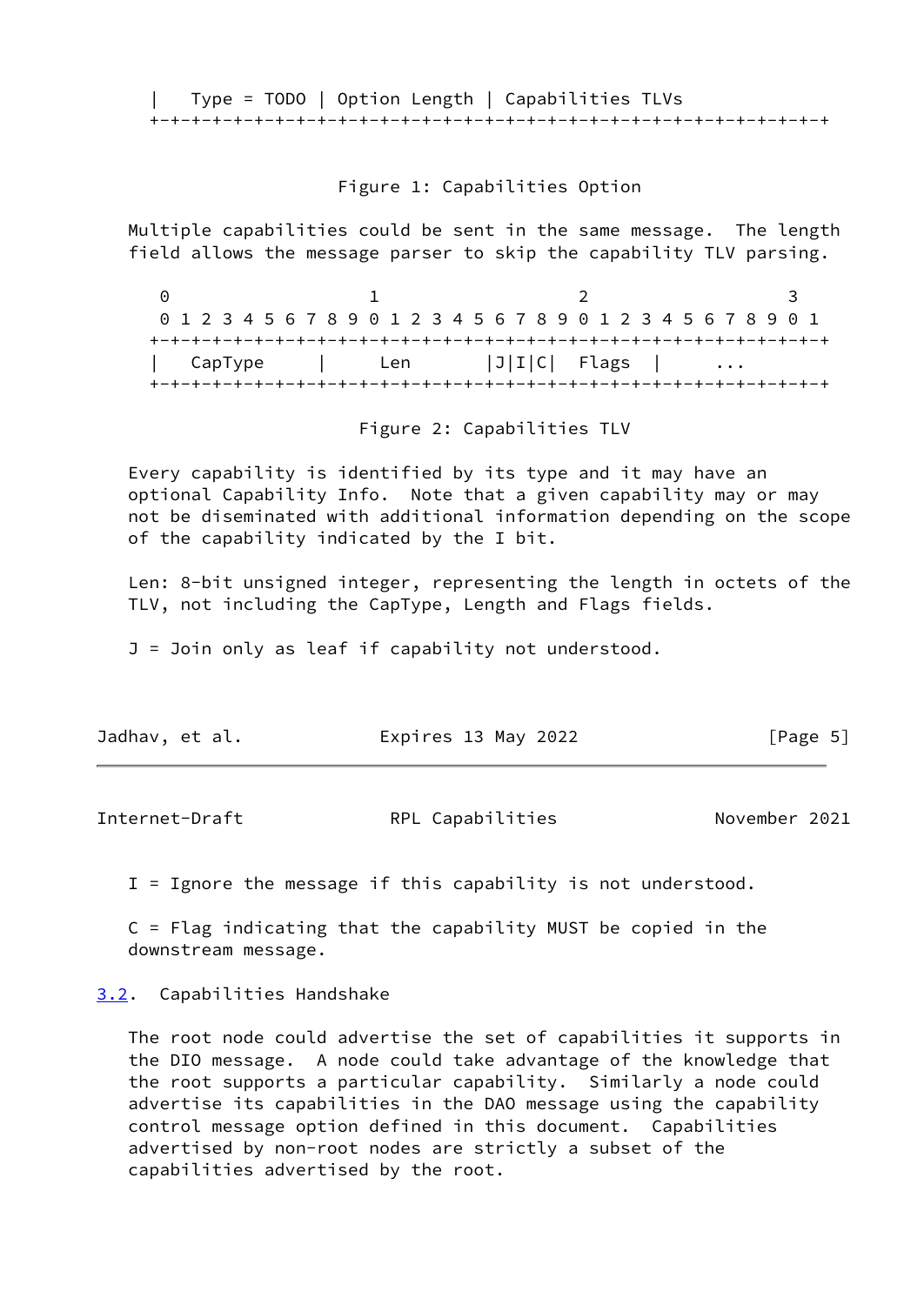| Type = TODO | Option Length | Capabilities TLVs +-+-+-+-+-+-+-+-+-+-+-+-+-+-+-+-+-+-+-+-+-+-+-+-+-+-+-+-+-+-+-+-+

## Figure 1: Capabilities Option

 Multiple capabilities could be sent in the same message. The length field allows the message parser to skip the capability TLV parsing.

0 1 2 3 0 1 2 3 4 5 6 7 8 9 0 1 2 3 4 5 6 7 8 9 0 1 2 3 4 5 6 7 8 9 0 1 +-+-+-+-+-+-+-+-+-+-+-+-+-+-+-+-+-+-+-+-+-+-+-+-+-+-+-+-+-+-+-+-+  $\textsf{CapType}$  | Len |J|I|C| Flags | ... +-+-+-+-+-+-+-+-+-+-+-+-+-+-+-+-+-+-+-+-+-+-+-+-+-+-+-+-+-+-+-+-+

Figure 2: Capabilities TLV

 Every capability is identified by its type and it may have an optional Capability Info. Note that a given capability may or may not be diseminated with additional information depending on the scope of the capability indicated by the I bit.

 Len: 8-bit unsigned integer, representing the length in octets of the TLV, not including the CapType, Length and Flags fields.

J = Join only as leaf if capability not understood.

| Jadhav, et al. | Expires 13 May 2022 | [Page 5] |
|----------------|---------------------|----------|
|----------------|---------------------|----------|

<span id="page-5-1"></span>

| Internet-Draft | RPL Capabilities | November 2021 |  |
|----------------|------------------|---------------|--|
|                |                  |               |  |

I = Ignore the message if this capability is not understood.

 C = Flag indicating that the capability MUST be copied in the downstream message.

<span id="page-5-0"></span>[3.2](#page-5-0). Capabilities Handshake

 The root node could advertise the set of capabilities it supports in the DIO message. A node could take advantage of the knowledge that the root supports a particular capability. Similarly a node could advertise its capabilities in the DAO message using the capability control message option defined in this document. Capabilities advertised by non-root nodes are strictly a subset of the capabilities advertised by the root.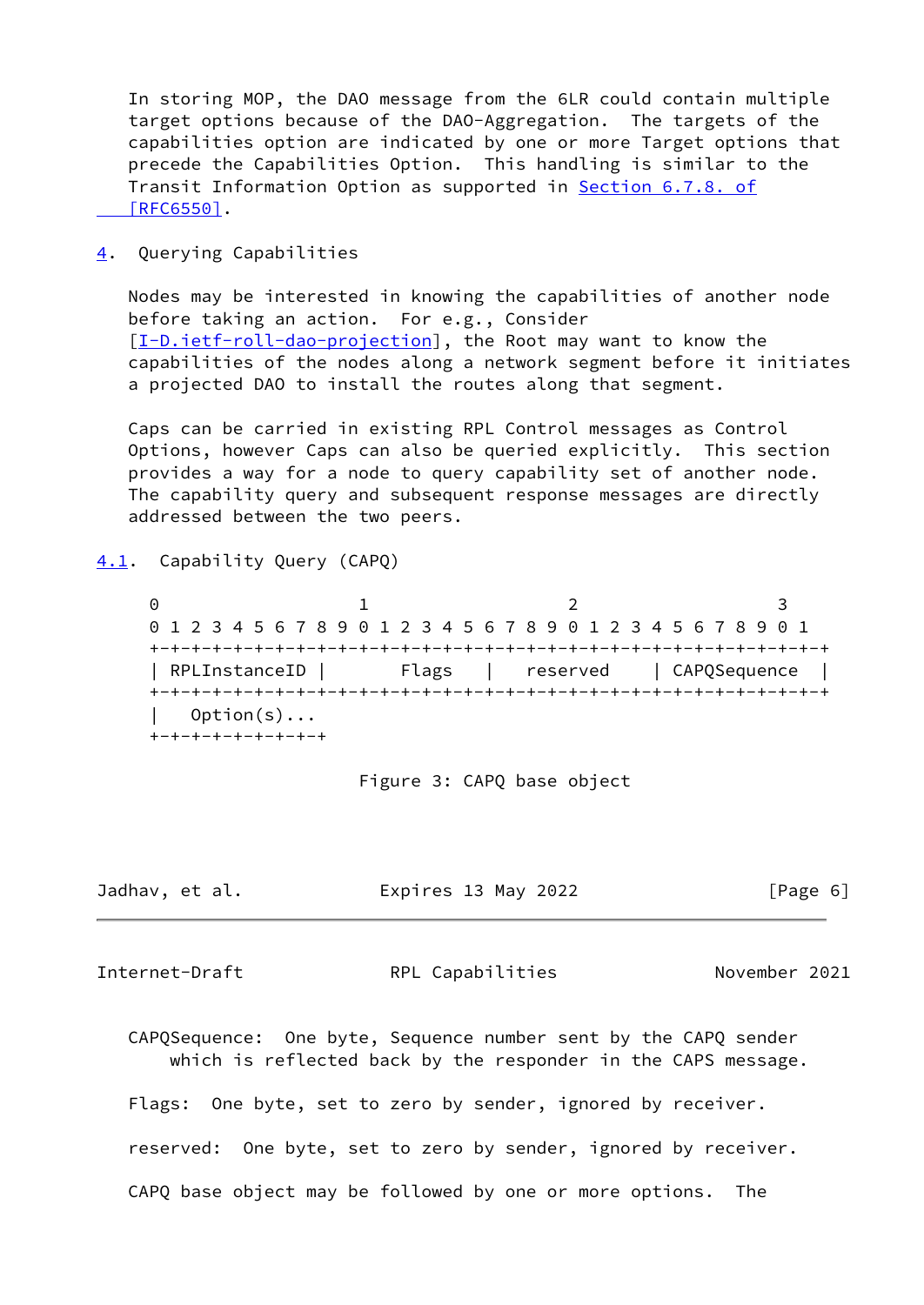In storing MOP, the DAO message from the 6LR could contain multiple target options because of the DAO-Aggregation. The targets of the capabilities option are indicated by one or more Target options that precede the Capabilities Option. This handling is similar to the Transit Information Option as supported in Section [6.7.8. of](https://datatracker.ietf.org/doc/pdf/rfc6550#section-6.7.8)  [\[RFC6550\]](https://datatracker.ietf.org/doc/pdf/rfc6550#section-6.7.8).

<span id="page-6-0"></span>[4](#page-6-0). Querying Capabilities

 Nodes may be interested in knowing the capabilities of another node before taking an action. For e.g., Consider [\[I-D.ietf-roll-dao-projection](#page-15-3)], the Root may want to know the capabilities of the nodes along a network segment before it initiates a projected DAO to install the routes along that segment.

 Caps can be carried in existing RPL Control messages as Control Options, however Caps can also be queried explicitly. This section provides a way for a node to query capability set of another node. The capability query and subsequent response messages are directly addressed between the two peers.

<span id="page-6-1"></span>[4.1](#page-6-1). Capability Query (CAPQ)

0 1 2 3 0 1 2 3 4 5 6 7 8 9 0 1 2 3 4 5 6 7 8 9 0 1 2 3 4 5 6 7 8 9 0 1 +-+-+-+-+-+-+-+-+-+-+-+-+-+-+-+-+-+-+-+-+-+-+-+-+-+-+-+-+-+-+-+-+ | RPLInstanceID | Flags | reserved | CAPQSequence | +-+-+-+-+-+-+-+-+-+-+-+-+-+-+-+-+-+-+-+-+-+-+-+-+-+-+-+-+-+-+-+-+  $Option(s) \ldots$ +-+-+-+-+-+-+-+-+

Figure 3: CAPQ base object

| Jadhav, et al. | Expires 13 May 2022 | [Page 6] |
|----------------|---------------------|----------|
|----------------|---------------------|----------|

<span id="page-6-2"></span>Internet-Draft **RPL Capabilities** November 2021

 CAPQSequence: One byte, Sequence number sent by the CAPQ sender which is reflected back by the responder in the CAPS message.

Flags: One byte, set to zero by sender, ignored by receiver.

reserved: One byte, set to zero by sender, ignored by receiver.

CAPQ base object may be followed by one or more options. The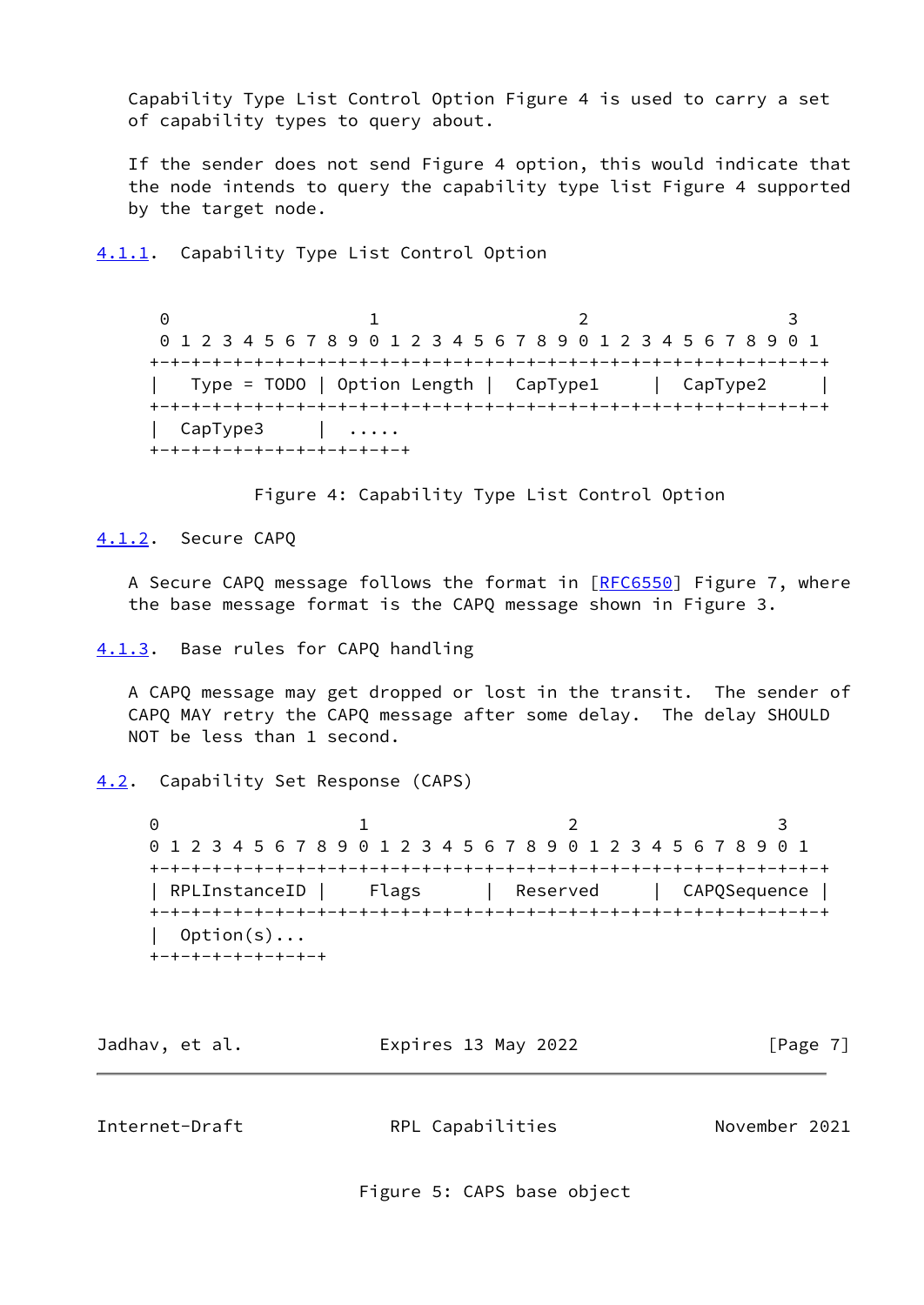Capability Type List Control Option Figure 4 is used to carry a set of capability types to query about.

 If the sender does not send Figure 4 option, this would indicate that the node intends to query the capability type list Figure 4 supported by the target node.

<span id="page-7-0"></span>[4.1.1](#page-7-0). Capability Type List Control Option

0 1 2 3 0 1 2 3 4 5 6 7 8 9 0 1 2 3 4 5 6 7 8 9 0 1 2 3 4 5 6 7 8 9 0 1 +-+-+-+-+-+-+-+-+-+-+-+-+-+-+-+-+-+-+-+-+-+-+-+-+-+-+-+-+-+-+-+-+ | Type = TODO | Option Length | CapType1 | CapType2 | +-+-+-+-+-+-+-+-+-+-+-+-+-+-+-+-+-+-+-+-+-+-+-+-+-+-+-+-+-+-+-+-+ | CapType3 | ..... +-+-+-+-+-+-+-+-+-+-+-+-+

Figure 4: Capability Type List Control Option

<span id="page-7-1"></span>[4.1.2](#page-7-1). Secure CAPQ

A Secure CAPQ message follows the format in [\[RFC6550](https://datatracker.ietf.org/doc/pdf/rfc6550)] Figure 7, where the base message format is the CAPQ message shown in Figure 3.

<span id="page-7-2"></span>[4.1.3](#page-7-2). Base rules for CAPQ handling

 A CAPQ message may get dropped or lost in the transit. The sender of CAPQ MAY retry the CAPQ message after some delay. The delay SHOULD NOT be less than 1 second.

<span id="page-7-3"></span>[4.2](#page-7-3). Capability Set Response (CAPS)

0 1 2 3 0 1 2 3 4 5 6 7 8 9 0 1 2 3 4 5 6 7 8 9 0 1 2 3 4 5 6 7 8 9 0 1 +-+-+-+-+-+-+-+-+-+-+-+-+-+-+-+-+-+-+-+-+-+-+-+-+-+-+-+-+-+-+-+-+ | RPLInstanceID | Flags | Reserved | CAPQSequence | +-+-+-+-+-+-+-+-+-+-+-+-+-+-+-+-+-+-+-+-+-+-+-+-+-+-+-+-+-+-+-+-+ | Option(s)... +-+-+-+-+-+-+-+-+

Jadhav, et al. Expires 13 May 2022 [Page 7]

<span id="page-7-4"></span>Internet-Draft RPL Capabilities November 2021

Figure 5: CAPS base object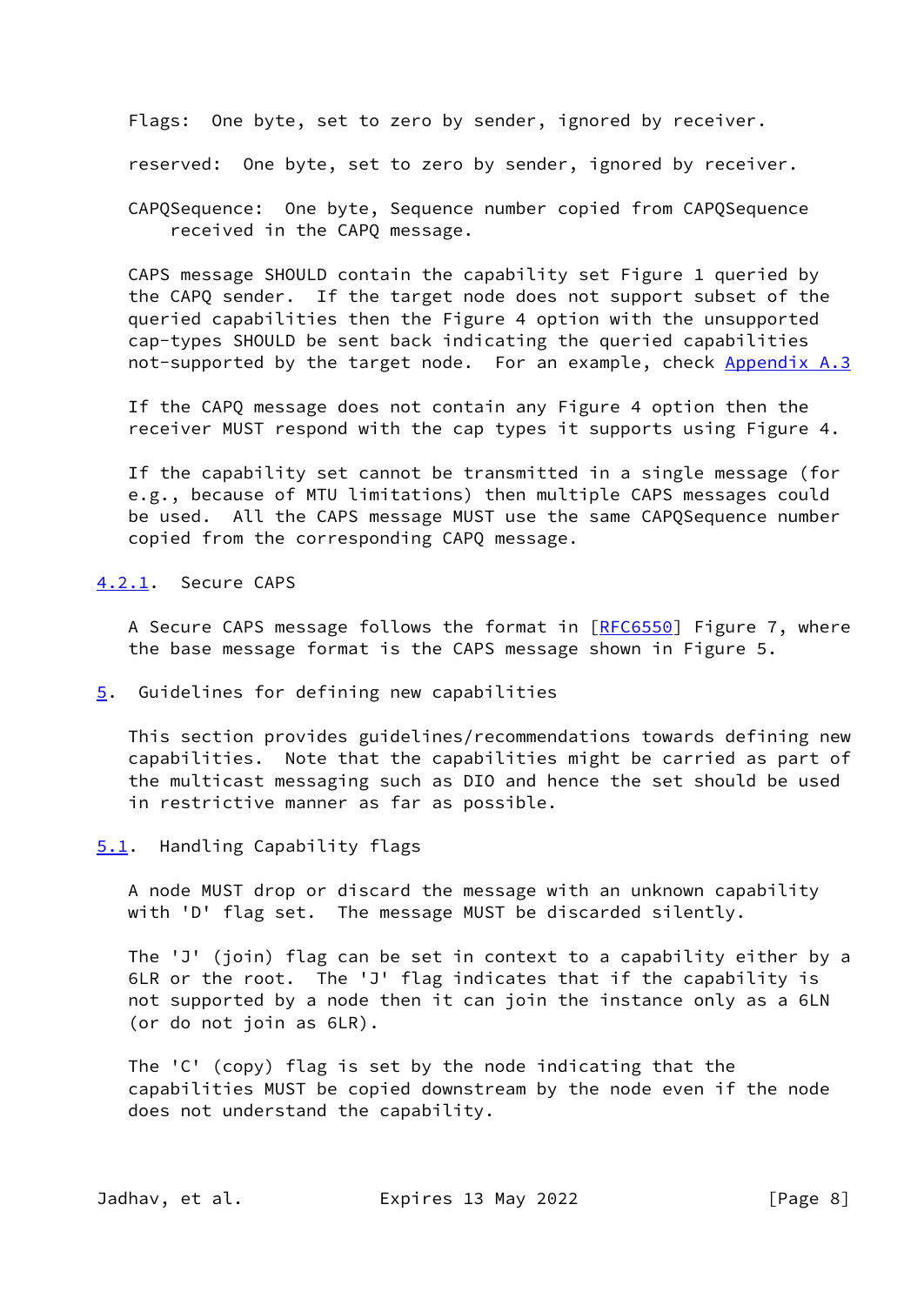Flags: One byte, set to zero by sender, ignored by receiver.

reserved: One byte, set to zero by sender, ignored by receiver.

 CAPQSequence: One byte, Sequence number copied from CAPQSequence received in the CAPQ message.

 CAPS message SHOULD contain the capability set Figure 1 queried by the CAPQ sender. If the target node does not support subset of the queried capabilities then the Figure 4 option with the unsupported cap-types SHOULD be sent back indicating the queried capabilities not-supported by the target node. For an example, check [Appendix A.3](#page-16-1)

 If the CAPQ message does not contain any Figure 4 option then the receiver MUST respond with the cap types it supports using Figure 4.

 If the capability set cannot be transmitted in a single message (for e.g., because of MTU limitations) then multiple CAPS messages could be used. All the CAPS message MUST use the same CAPQSequence number copied from the corresponding CAPQ message.

<span id="page-8-0"></span>[4.2.1](#page-8-0). Secure CAPS

A Secure CAPS message follows the format in [\[RFC6550](https://datatracker.ietf.org/doc/pdf/rfc6550)] Figure 7, where the base message format is the CAPS message shown in Figure 5.

<span id="page-8-1"></span>[5](#page-8-1). Guidelines for defining new capabilities

 This section provides guidelines/recommendations towards defining new capabilities. Note that the capabilities might be carried as part of the multicast messaging such as DIO and hence the set should be used in restrictive manner as far as possible.

<span id="page-8-2"></span>[5.1](#page-8-2). Handling Capability flags

 A node MUST drop or discard the message with an unknown capability with 'D' flag set. The message MUST be discarded silently.

 The 'J' (join) flag can be set in context to a capability either by a 6LR or the root. The 'J' flag indicates that if the capability is not supported by a node then it can join the instance only as a 6LN (or do not join as 6LR).

 The 'C' (copy) flag is set by the node indicating that the capabilities MUST be copied downstream by the node even if the node does not understand the capability.

Jadhav, et al. Expires 13 May 2022 [Page 8]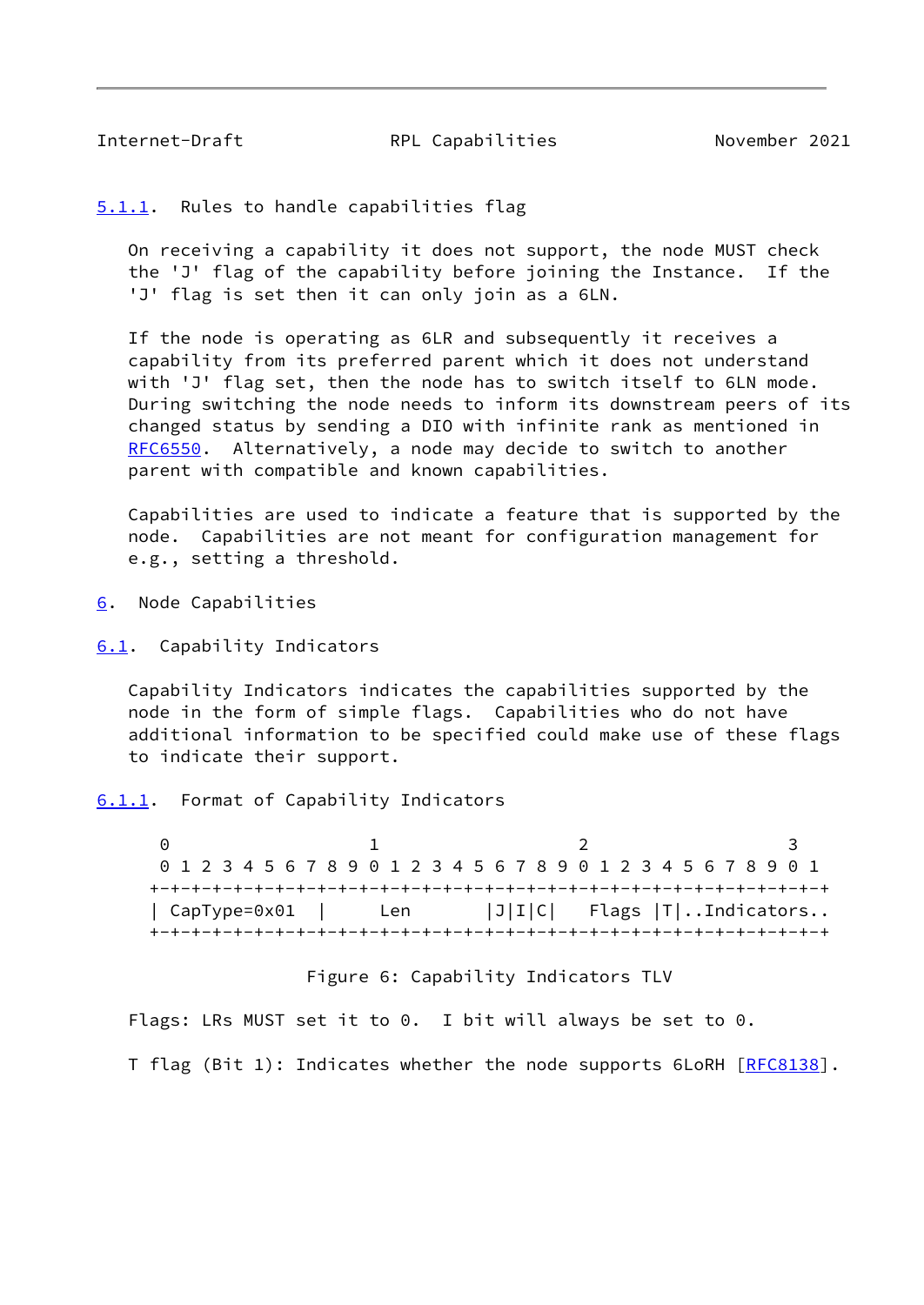<span id="page-9-1"></span>

<span id="page-9-0"></span>[5.1.1](#page-9-0). Rules to handle capabilities flag

 On receiving a capability it does not support, the node MUST check the 'J' flag of the capability before joining the Instance. If the 'J' flag is set then it can only join as a 6LN.

 If the node is operating as 6LR and subsequently it receives a capability from its preferred parent which it does not understand with 'J' flag set, then the node has to switch itself to 6LN mode. During switching the node needs to inform its downstream peers of its changed status by sending a DIO with infinite rank as mentioned in [RFC6550](https://datatracker.ietf.org/doc/pdf/rfc6550). Alternatively, a node may decide to switch to another parent with compatible and known capabilities.

 Capabilities are used to indicate a feature that is supported by the node. Capabilities are not meant for configuration management for e.g., setting a threshold.

<span id="page-9-2"></span>[6](#page-9-2). Node Capabilities

<span id="page-9-3"></span>[6.1](#page-9-3). Capability Indicators

 Capability Indicators indicates the capabilities supported by the node in the form of simple flags. Capabilities who do not have additional information to be specified could make use of these flags to indicate their support.

<span id="page-9-4"></span>[6.1.1](#page-9-4). Format of Capability Indicators

0 1 2 3 0 1 2 3 4 5 6 7 8 9 0 1 2 3 4 5 6 7 8 9 0 1 2 3 4 5 6 7 8 9 0 1 +-+-+-+-+-+-+-+-+-+-+-+-+-+-+-+-+-+-+-+-+-+-+-+-+-+-+-+-+-+-+-+-+ | CapType=0x01 | Len |J|I|C| Flags |T|..Indicators.. +-+-+-+-+-+-+-+-+-+-+-+-+-+-+-+-+-+-+-+-+-+-+-+-+-+-+-+-+-+-+-+-+

Figure 6: Capability Indicators TLV

Flags: LRs MUST set it to 0. I bit will always be set to 0.

T flag (Bit 1): Indicates whether the node supports 6LoRH [[RFC8138](https://datatracker.ietf.org/doc/pdf/rfc8138)].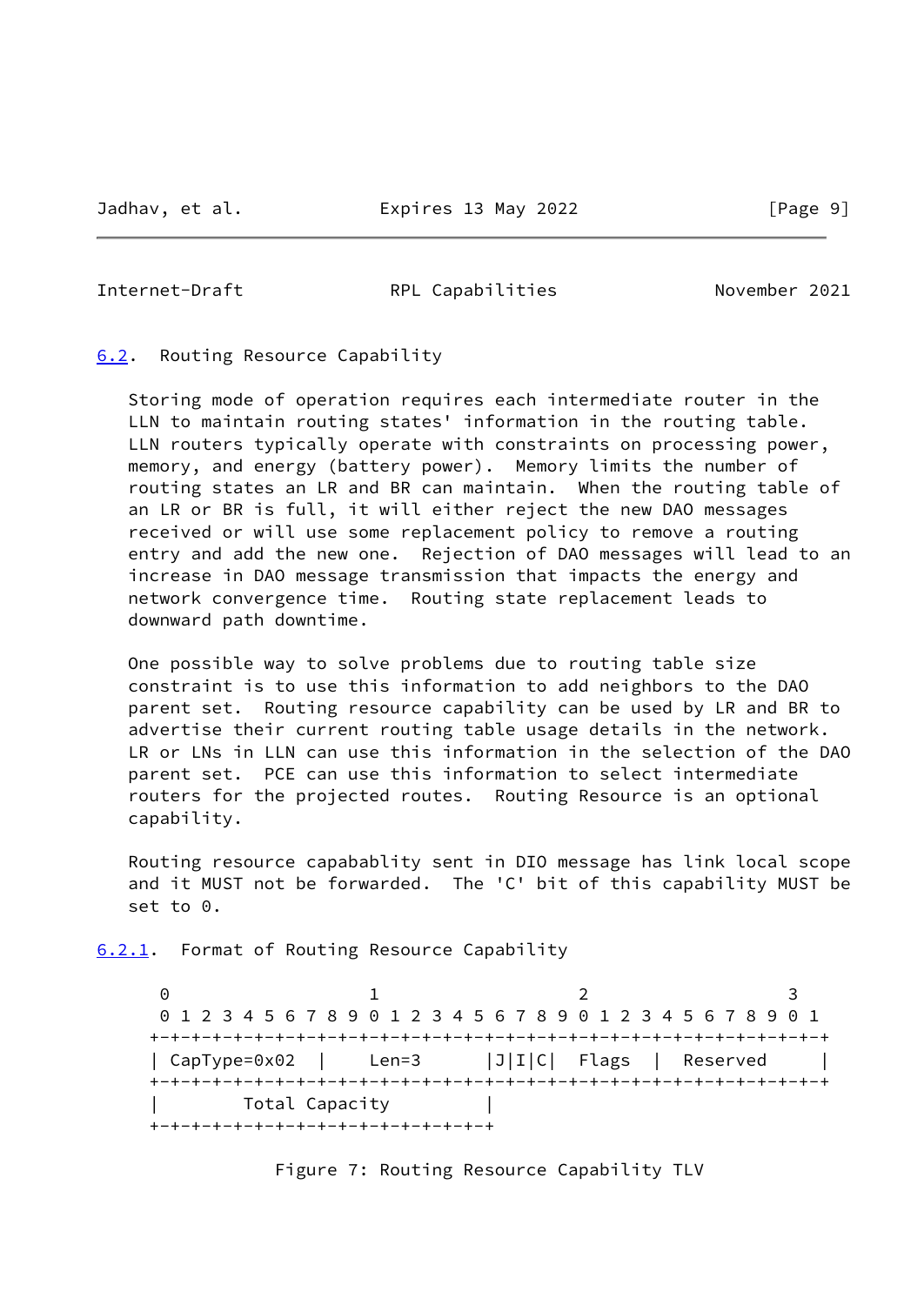<span id="page-10-1"></span>

### <span id="page-10-0"></span>[6.2](#page-10-0). Routing Resource Capability

 Storing mode of operation requires each intermediate router in the LLN to maintain routing states' information in the routing table. LLN routers typically operate with constraints on processing power, memory, and energy (battery power). Memory limits the number of routing states an LR and BR can maintain. When the routing table of an LR or BR is full, it will either reject the new DAO messages received or will use some replacement policy to remove a routing entry and add the new one. Rejection of DAO messages will lead to an increase in DAO message transmission that impacts the energy and network convergence time. Routing state replacement leads to downward path downtime.

 One possible way to solve problems due to routing table size constraint is to use this information to add neighbors to the DAO parent set. Routing resource capability can be used by LR and BR to advertise their current routing table usage details in the network. LR or LNs in LLN can use this information in the selection of the DAO parent set. PCE can use this information to select intermediate routers for the projected routes. Routing Resource is an optional capability.

 Routing resource capabablity sent in DIO message has link local scope and it MUST not be forwarded. The 'C' bit of this capability MUST be set to 0.

<span id="page-10-2"></span>[6.2.1](#page-10-2). Format of Routing Resource Capability

0 1 2 3 0 1 2 3 4 5 6 7 8 9 0 1 2 3 4 5 6 7 8 9 0 1 2 3 4 5 6 7 8 9 0 1 +-+-+-+-+-+-+-+-+-+-+-+-+-+-+-+-+-+-+-+-+-+-+-+-+-+-+-+-+-+-+-+-+ | CapType=0x02 | Len=3 |J|I|C| Flags | Reserved | +-+-+-+-+-+-+-+-+-+-+-+-+-+-+-+-+-+-+-+-+-+-+-+-+-+-+-+-+-+-+-+-+ Total Capacity +-+-+-+-+-+-+-+-+-+-+-+-+-+-+-+-+

Figure 7: Routing Resource Capability TLV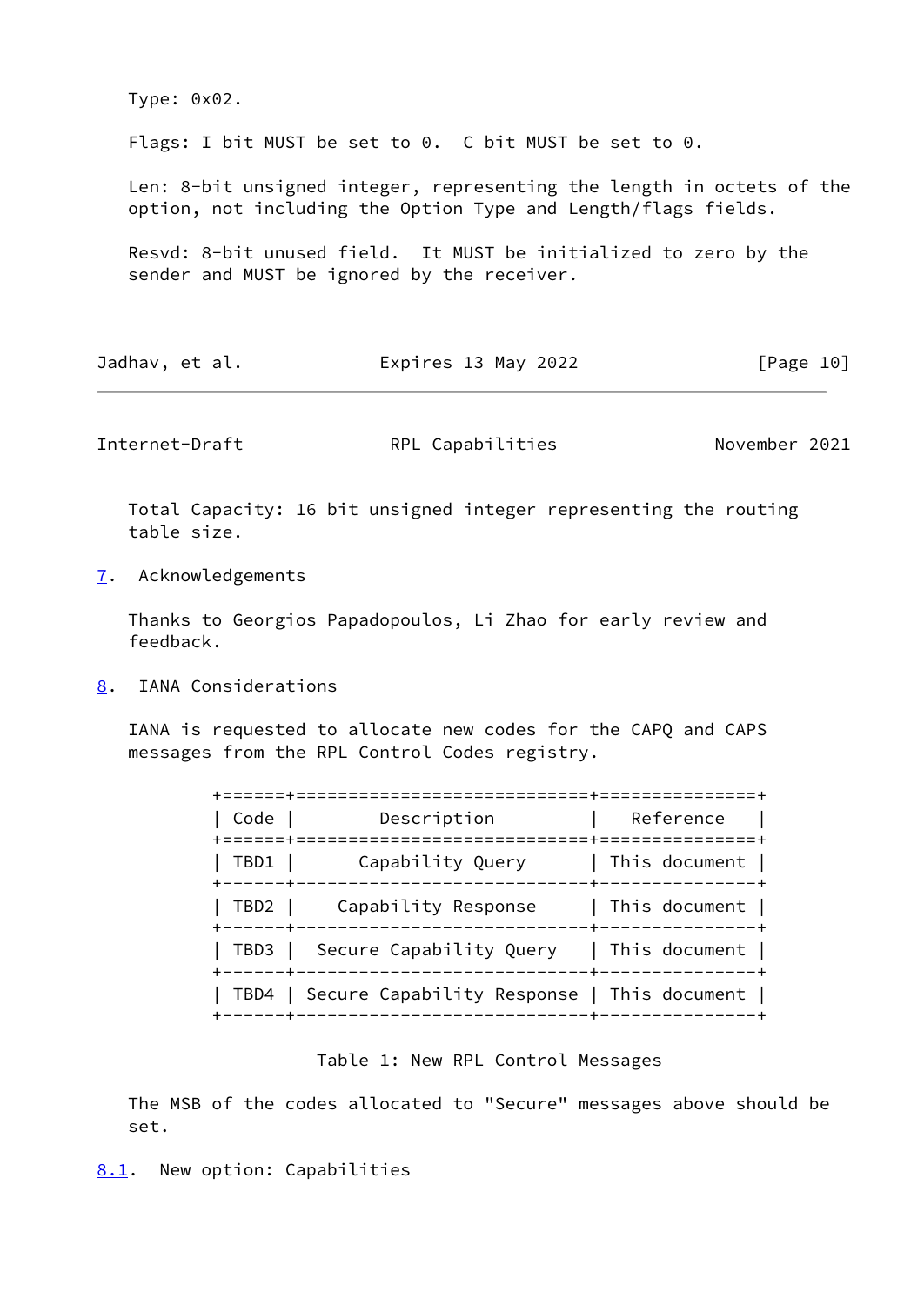Type: 0x02.

Flags: I bit MUST be set to 0. C bit MUST be set to 0.

 Len: 8-bit unsigned integer, representing the length in octets of the option, not including the Option Type and Length/flags fields.

 Resvd: 8-bit unused field. It MUST be initialized to zero by the sender and MUST be ignored by the receiver.

| Expires 13 May 2022<br>Jadhav, et al. | [Page 10] |  |
|---------------------------------------|-----------|--|
|---------------------------------------|-----------|--|

<span id="page-11-1"></span>Internet-Draft **RPL Capabilities** November 2021

 Total Capacity: 16 bit unsigned integer representing the routing table size.

<span id="page-11-0"></span>[7](#page-11-0). Acknowledgements

 Thanks to Georgios Papadopoulos, Li Zhao for early review and feedback.

<span id="page-11-2"></span>[8](#page-11-2). IANA Considerations

 IANA is requested to allocate new codes for the CAPQ and CAPS messages from the RPL Control Codes registry.

| Code     | Description                                       | Reference                   |
|----------|---------------------------------------------------|-----------------------------|
| TBD1     | Capability Query                                  | $\mid$ This document $\mid$ |
| I TBD2 I | Capability Response                               | This document               |
|          | TBD3   Secure Capability Query   This document    |                             |
|          | TBD4   Secure Capability Response   This document |                             |
|          |                                                   |                             |

#### Table 1: New RPL Control Messages

<span id="page-11-3"></span> The MSB of the codes allocated to "Secure" messages above should be set.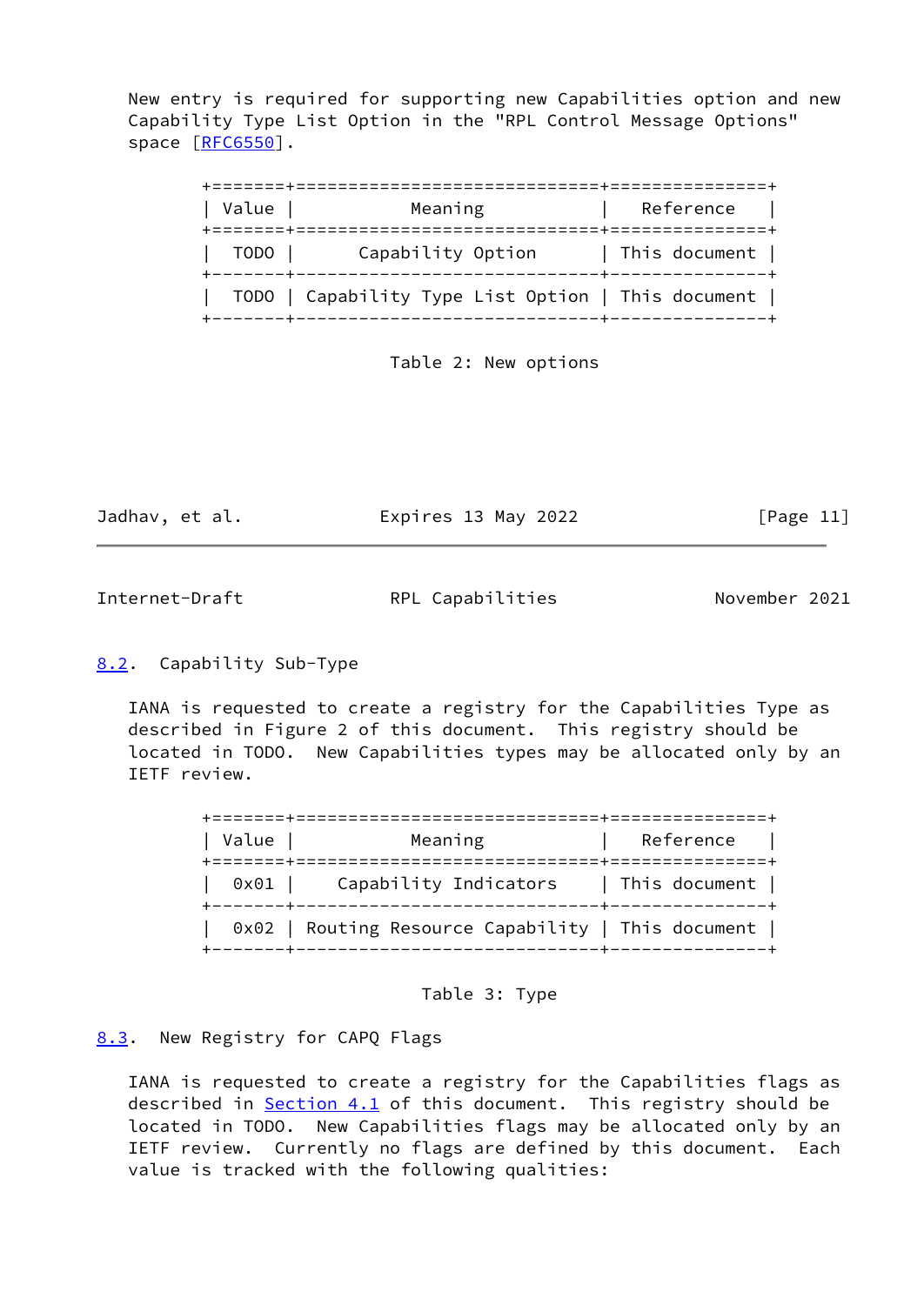New entry is required for supporting new Capabilities option and new Capability Type List Option in the "RPL Control Message Options" space [[RFC6550](https://datatracker.ietf.org/doc/pdf/rfc6550)].

| Value                     | Meaning                                                                               | Reference     |
|---------------------------|---------------------------------------------------------------------------------------|---------------|
| TODO  <br>+-------+------ | Capability Option                                                                     | This document |
|                           | TODO   Capability Type List Option   This document  <br>----------------------+------ |               |

Table 2: New options

Jadhav, et al. **Expires 13 May 2022** [Page 11]

<span id="page-12-1"></span>Internet-Draft RPL Capabilities November 2021

# <span id="page-12-0"></span>[8.2](#page-12-0). Capability Sub-Type

 IANA is requested to create a registry for the Capabilities Type as described in Figure 2 of this document. This registry should be located in TODO. New Capabilities types may be allocated only by an IETF review.

| Value | Meaning                                                                             | Reference |
|-------|-------------------------------------------------------------------------------------|-----------|
|       | $0\times01$   Capability Indicators   This document                                 |           |
|       | 0x02   Routing Resource Capability   This document  <br>----------------------+---- |           |



<span id="page-12-2"></span>[8.3](#page-12-2). New Registry for CAPQ Flags

 IANA is requested to create a registry for the Capabilities flags as described in **Section 4.1** of this document. This registry should be located in TODO. New Capabilities flags may be allocated only by an IETF review. Currently no flags are defined by this document. Each value is tracked with the following qualities: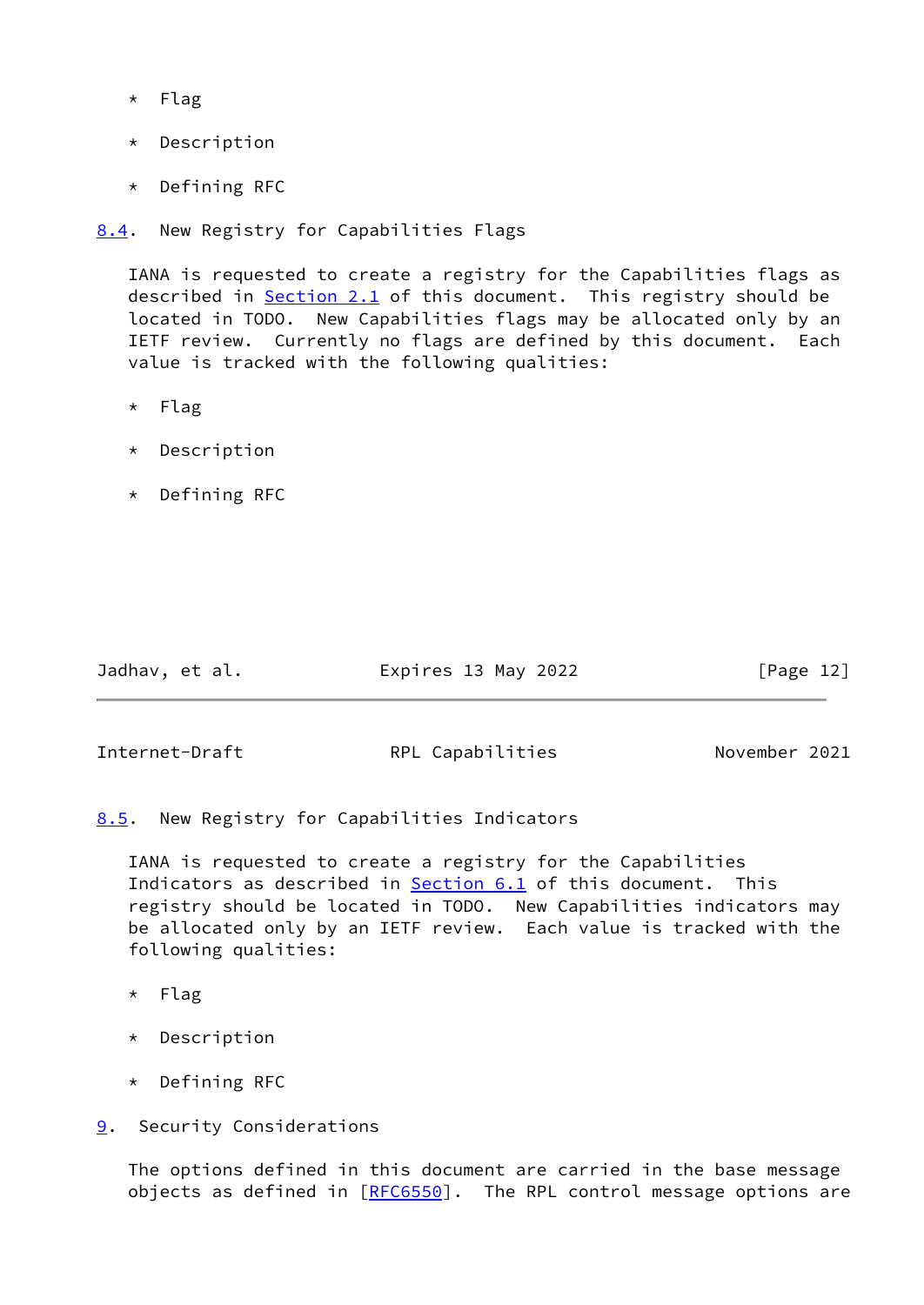- \* Flag
- \* Description
- \* Defining RFC

<span id="page-13-0"></span>[8.4](#page-13-0). New Registry for Capabilities Flags

 IANA is requested to create a registry for the Capabilities flags as described in [Section 2.1](#page-4-3) of this document. This registry should be located in TODO. New Capabilities flags may be allocated only by an IETF review. Currently no flags are defined by this document. Each value is tracked with the following qualities:

- \* Flag
- \* Description
- \* Defining RFC

| Jadhav, et al. | Expires 13 May 2022 | [Page 12] |
|----------------|---------------------|-----------|
|                |                     |           |

<span id="page-13-2"></span>Internet-Draft **RPL Capabilities** November 2021

<span id="page-13-1"></span>[8.5](#page-13-1). New Registry for Capabilities Indicators

 IANA is requested to create a registry for the Capabilities Indicators as described in **[Section 6.1](#page-9-3)** of this document. This registry should be located in TODO. New Capabilities indicators may be allocated only by an IETF review. Each value is tracked with the following qualities:

- \* Flag
- \* Description
- \* Defining RFC
- <span id="page-13-3"></span>[9](#page-13-3). Security Considerations

 The options defined in this document are carried in the base message objects as defined in [[RFC6550](https://datatracker.ietf.org/doc/pdf/rfc6550)]. The RPL control message options are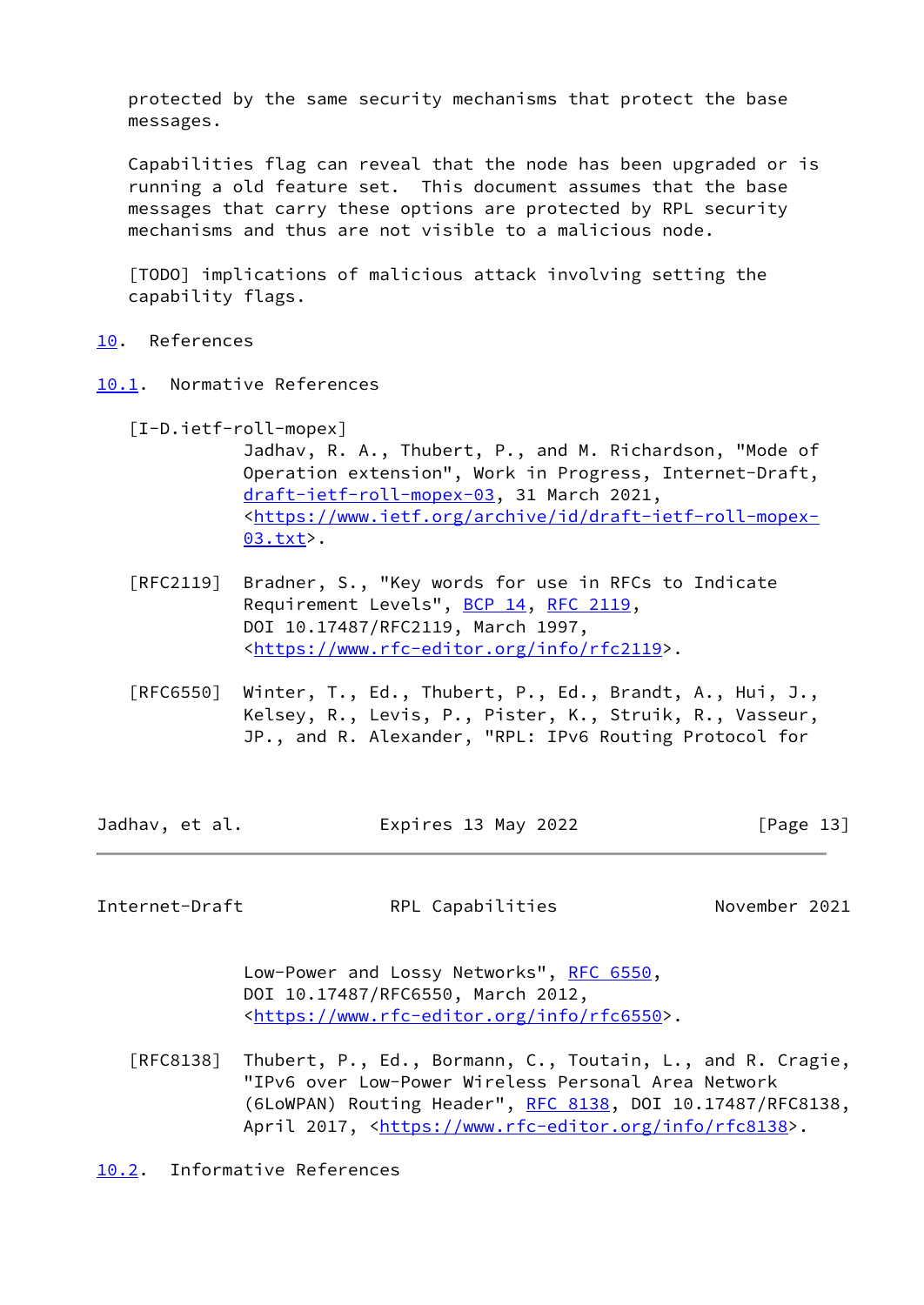protected by the same security mechanisms that protect the base messages.

 Capabilities flag can reveal that the node has been upgraded or is running a old feature set. This document assumes that the base messages that carry these options are protected by RPL security mechanisms and thus are not visible to a malicious node.

 [TODO] implications of malicious attack involving setting the capability flags.

- <span id="page-14-0"></span>[10.](#page-14-0) References
- <span id="page-14-4"></span><span id="page-14-1"></span>[10.1](#page-14-1). Normative References
	- [I-D.ietf-roll-mopex]
		- Jadhav, R. A., Thubert, P., and M. Richardson, "Mode of Operation extension", Work in Progress, Internet-Draft, [draft-ietf-roll-mopex-03,](https://datatracker.ietf.org/doc/pdf/draft-ietf-roll-mopex-03) 31 March 2021, <[https://www.ietf.org/archive/id/draft-ietf-roll-mopex-](https://www.ietf.org/archive/id/draft-ietf-roll-mopex-03.txt) [03.txt](https://www.ietf.org/archive/id/draft-ietf-roll-mopex-03.txt)>.
	- [RFC2119] Bradner, S., "Key words for use in RFCs to Indicate Requirement Levels", [BCP 14](https://datatracker.ietf.org/doc/pdf/bcp14), [RFC 2119](https://datatracker.ietf.org/doc/pdf/rfc2119), DOI 10.17487/RFC2119, March 1997, <[https://www.rfc-editor.org/info/rfc2119>](https://www.rfc-editor.org/info/rfc2119).
	- [RFC6550] Winter, T., Ed., Thubert, P., Ed., Brandt, A., Hui, J., Kelsey, R., Levis, P., Pister, K., Struik, R., Vasseur, JP., and R. Alexander, "RPL: IPv6 Routing Protocol for
- Jadhav, et al. **Expires 13 May 2022** [Page 13]

<span id="page-14-3"></span>Internet-Draft **RPL Capabilities** November 2021

Low-Power and Lossy Networks", [RFC 6550](https://datatracker.ietf.org/doc/pdf/rfc6550), DOI 10.17487/RFC6550, March 2012, <[https://www.rfc-editor.org/info/rfc6550>](https://www.rfc-editor.org/info/rfc6550).

 [RFC8138] Thubert, P., Ed., Bormann, C., Toutain, L., and R. Cragie, "IPv6 over Low-Power Wireless Personal Area Network (6LoWPAN) Routing Header", [RFC 8138](https://datatracker.ietf.org/doc/pdf/rfc8138), DOI 10.17487/RFC8138, April 2017, [<https://www.rfc-editor.org/info/rfc8138](https://www.rfc-editor.org/info/rfc8138)>.

<span id="page-14-2"></span>[10.2](#page-14-2). Informative References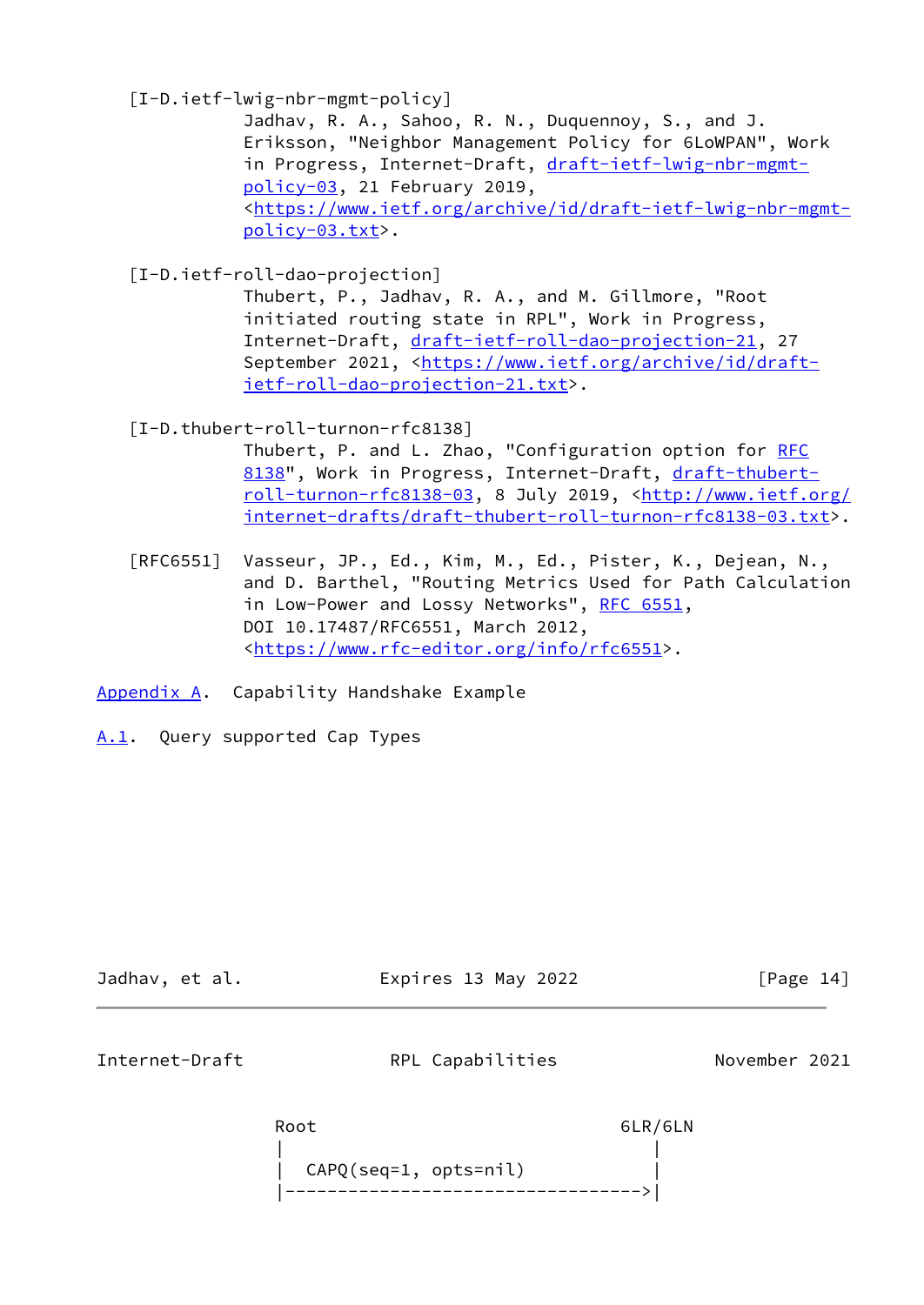[I-D.ietf-lwig-nbr-mgmt-policy]

 Jadhav, R. A., Sahoo, R. N., Duquennoy, S., and J. Eriksson, "Neighbor Management Policy for 6LoWPAN", Work in Progress, Internet-Draft, [draft-ietf-lwig-nbr-mgmt](https://datatracker.ietf.org/doc/pdf/draft-ietf-lwig-nbr-mgmt-policy-03) [policy-03,](https://datatracker.ietf.org/doc/pdf/draft-ietf-lwig-nbr-mgmt-policy-03) 21 February 2019, <[https://www.ietf.org/archive/id/draft-ietf-lwig-nbr-mgmt](https://www.ietf.org/archive/id/draft-ietf-lwig-nbr-mgmt-policy-03.txt) [policy-03.txt>](https://www.ietf.org/archive/id/draft-ietf-lwig-nbr-mgmt-policy-03.txt).

<span id="page-15-3"></span>[I-D.ietf-roll-dao-projection]

 Thubert, P., Jadhav, R. A., and M. Gillmore, "Root initiated routing state in RPL", Work in Progress, Internet-Draft, [draft-ietf-roll-dao-projection-21,](https://datatracker.ietf.org/doc/pdf/draft-ietf-roll-dao-projection-21) 27 September 2021, <[https://www.ietf.org/archive/id/draft](https://www.ietf.org/archive/id/draft-ietf-roll-dao-projection-21.txt) [ietf-roll-dao-projection-21.txt](https://www.ietf.org/archive/id/draft-ietf-roll-dao-projection-21.txt)>.

[I-D.thubert-roll-turnon-rfc8138]

Thubert, P. and L. Zhao, "Configuration option for [RFC](https://datatracker.ietf.org/doc/pdf/rfc8138) [8138"](https://datatracker.ietf.org/doc/pdf/rfc8138), Work in Progress, Internet-Draft, [draft-thubert](https://datatracker.ietf.org/doc/pdf/draft-thubert-roll-turnon-rfc8138-03) [roll-turnon-rfc8138-03](https://datatracker.ietf.org/doc/pdf/draft-thubert-roll-turnon-rfc8138-03), 8 July 2019, [<http://www.ietf.org/](http://www.ietf.org/internet-drafts/draft-thubert-roll-turnon-rfc8138-03.txt) [internet-drafts/draft-thubert-roll-turnon-rfc8138-03.txt>](http://www.ietf.org/internet-drafts/draft-thubert-roll-turnon-rfc8138-03.txt).

 [RFC6551] Vasseur, JP., Ed., Kim, M., Ed., Pister, K., Dejean, N., and D. Barthel, "Routing Metrics Used for Path Calculation in Low-Power and Lossy Networks", [RFC 6551](https://datatracker.ietf.org/doc/pdf/rfc6551), DOI 10.17487/RFC6551, March 2012, <[https://www.rfc-editor.org/info/rfc6551>](https://www.rfc-editor.org/info/rfc6551).

<span id="page-15-0"></span>[Appendix A.](#page-15-0) Capability Handshake Example

<span id="page-15-1"></span>[A.1](#page-15-1). Query supported Cap Types

<span id="page-15-2"></span>

| Jadhav, et al. | Expires 13 May 2022 |                  | [Page 14] |               |  |
|----------------|---------------------|------------------|-----------|---------------|--|
| Internet-Draft |                     | RPL Capabilities |           | November 2021 |  |
|                | Root                |                  | 6LR/6LN   |               |  |

 | | | CAPQ(seq=1, opts=nil) | |---------------------------------->|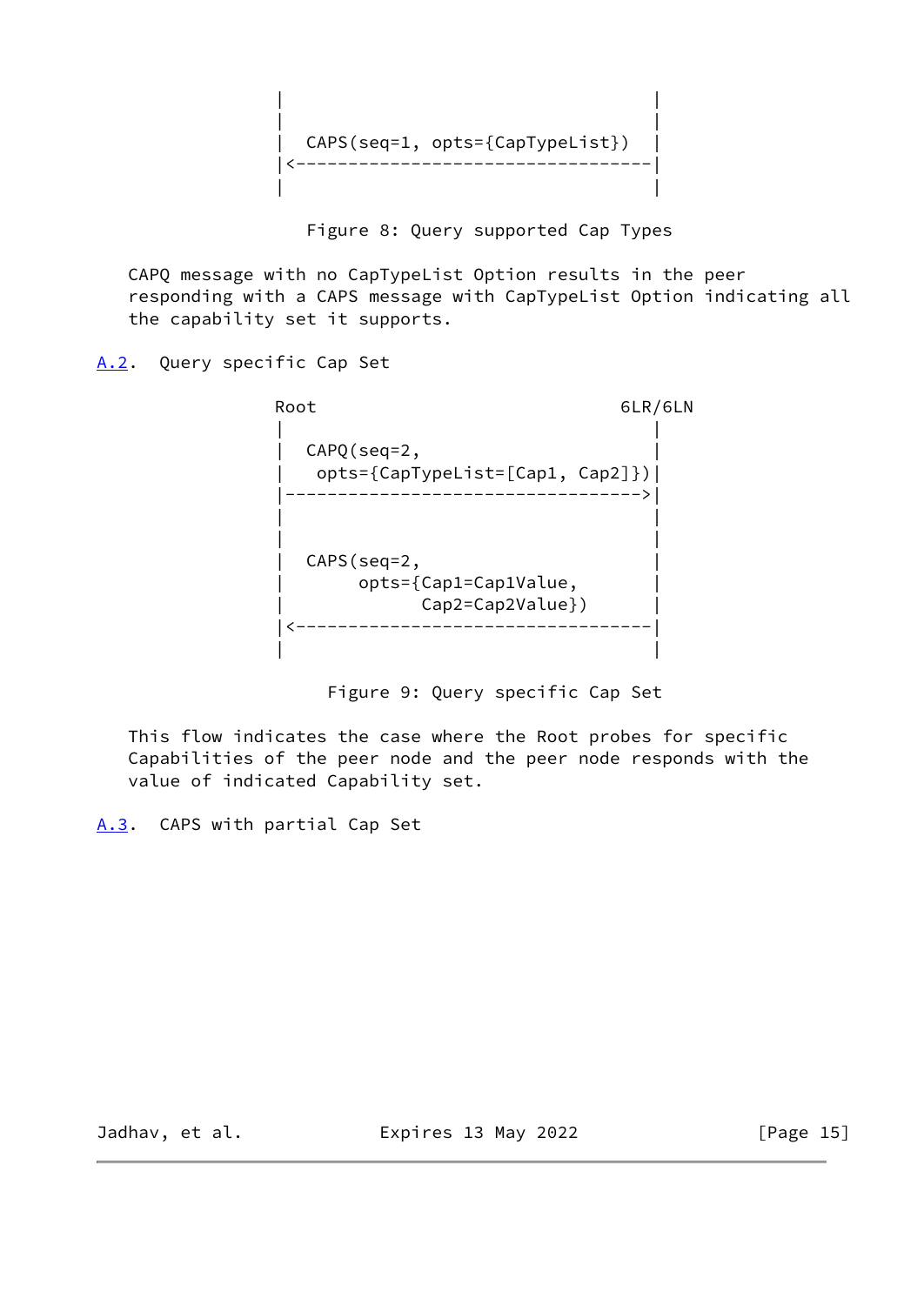| | | | | CAPS(seq=1, opts={CapTypeList}) | |<----------------------------------| | |

Figure 8: Query supported Cap Types

 CAPQ message with no CapTypeList Option results in the peer responding with a CAPS message with CapTypeList Option indicating all the capability set it supports.

<span id="page-16-0"></span>[A.2](#page-16-0). Query specific Cap Set

Root 6LR/6LN | |  $\mathsf{CAPQ}(\mathsf{seq}{=}\mathsf{2}\,,$  | opts={CapTypeList=[Cap1, Cap2]})| |---------------------------------->| | | | | | CAPS(seq=2, | | opts={Cap1=Cap1Value, | | Cap2=Cap2Value}) | |<----------------------------------| | |

Figure 9: Query specific Cap Set

 This flow indicates the case where the Root probes for specific Capabilities of the peer node and the peer node responds with the value of indicated Capability set.

<span id="page-16-1"></span>[A.3](#page-16-1). CAPS with partial Cap Set

Jadhav, et al. **Expires 13 May 2022** [Page 15]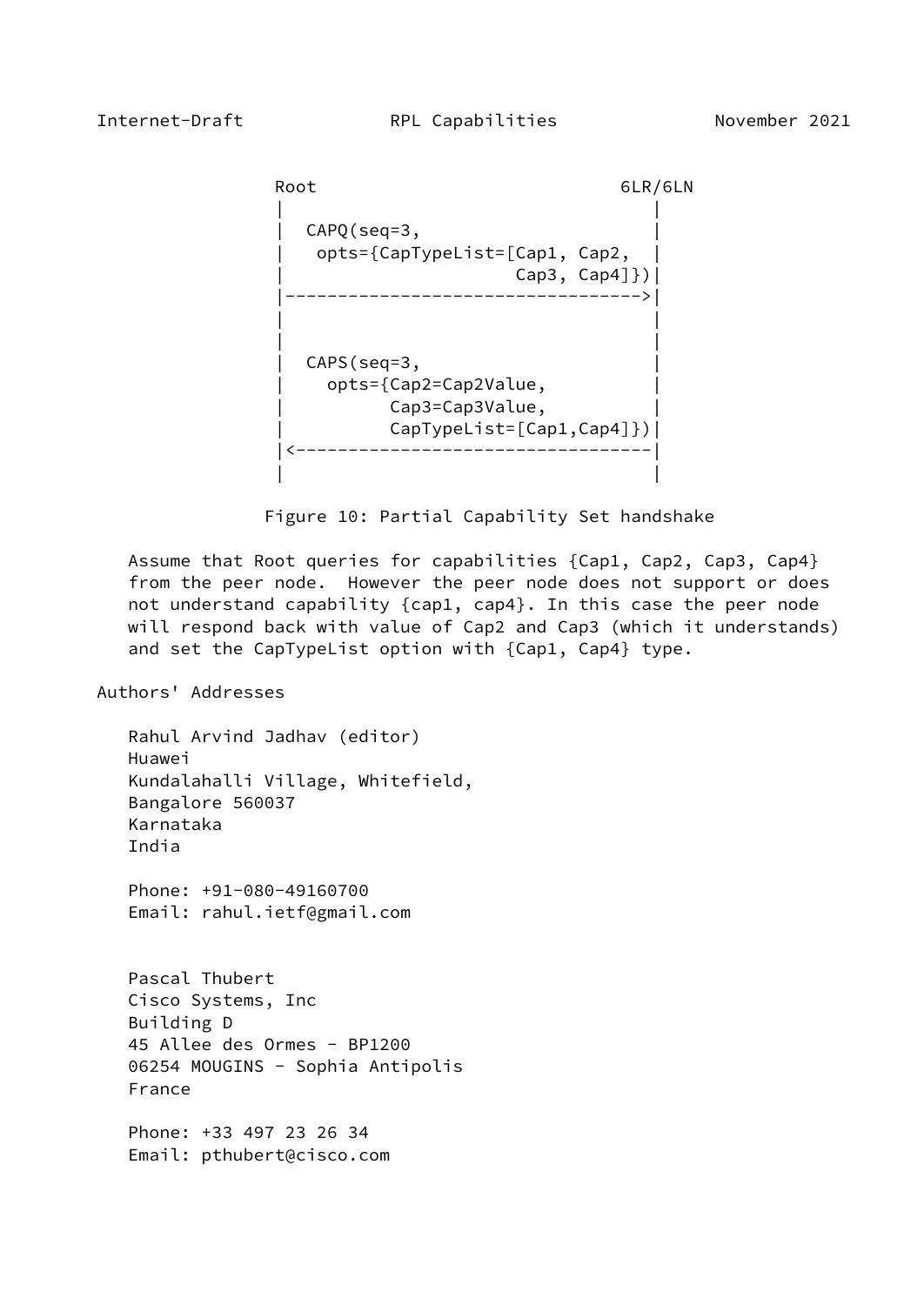```
Root 6LR/6LN
| |
         CAPO(seq=3,
           | opts={CapTypeList=[Cap1, Cap2, |
                \textsf{Cap3, Cap4}]\}) |---------------------------------->|
| |
| |
         CAPS(seq=3,
           | opts={Cap2=Cap2Value, |
             Cap3=Cap3Value,
              | CapTypeList=[Cap1,Cap4]})|
          |<----------------------------------|
| |
```
Figure 10: Partial Capability Set handshake

 Assume that Root queries for capabilities {Cap1, Cap2, Cap3, Cap4} from the peer node. However the peer node does not support or does not understand capability {cap1, cap4}. In this case the peer node will respond back with value of Cap2 and Cap3 (which it understands) and set the CapTypeList option with {Cap1, Cap4} type.

## Authors' Addresses

 Rahul Arvind Jadhav (editor) Huawei Kundalahalli Village, Whitefield, Bangalore 560037 Karnataka India Phone: +91-080-49160700 Email: rahul.ietf@gmail.com Pascal Thubert Cisco Systems, Inc Building D 45 Allee des Ormes - BP1200 06254 MOUGINS - Sophia Antipolis France Phone: +33 497 23 26 34

Email: pthubert@cisco.com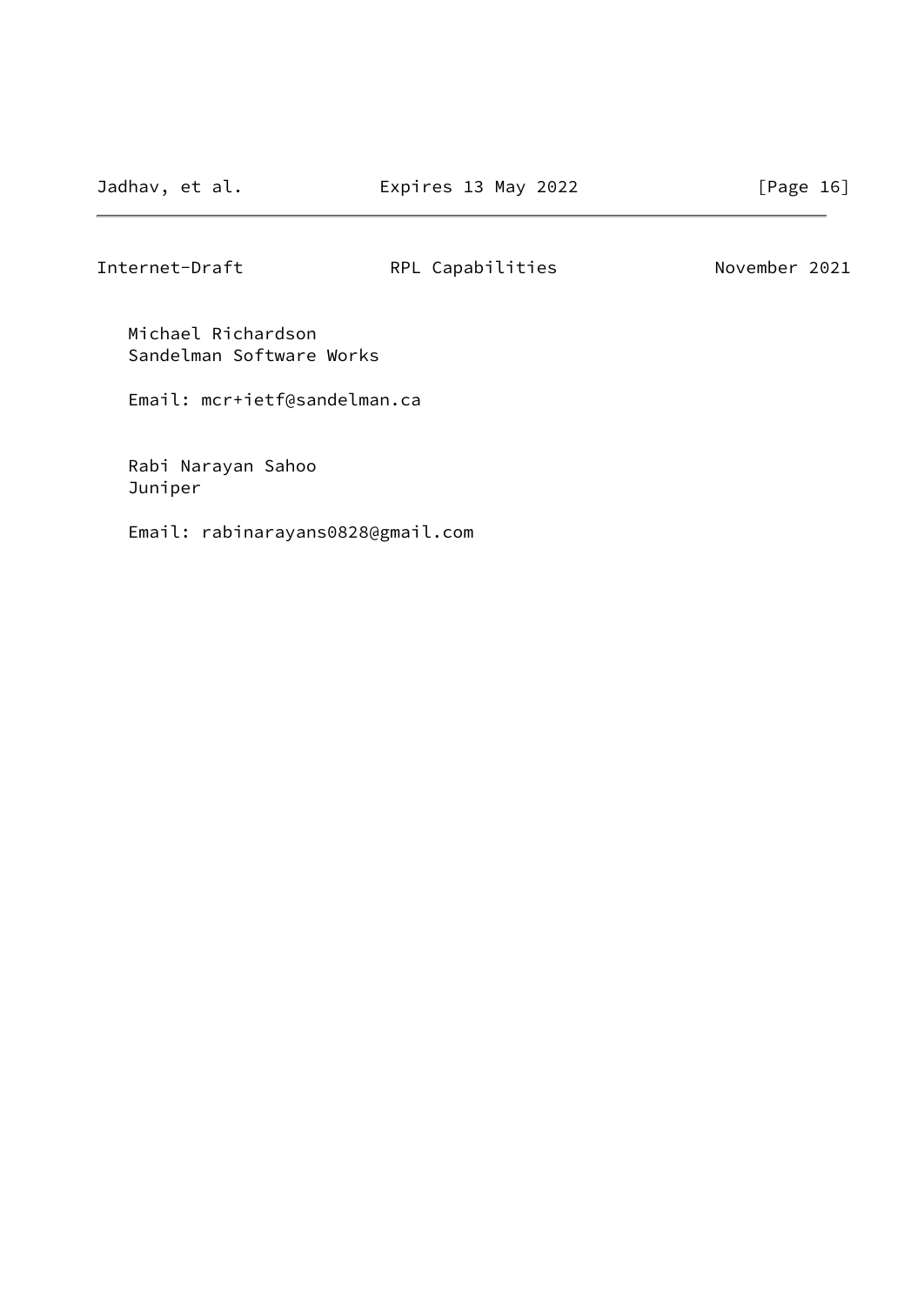Michael Richardson Sandelman Software Works

Email: mcr+ietf@sandelman.ca

 Rabi Narayan Sahoo Juniper

Email: rabinarayans0828@gmail.com